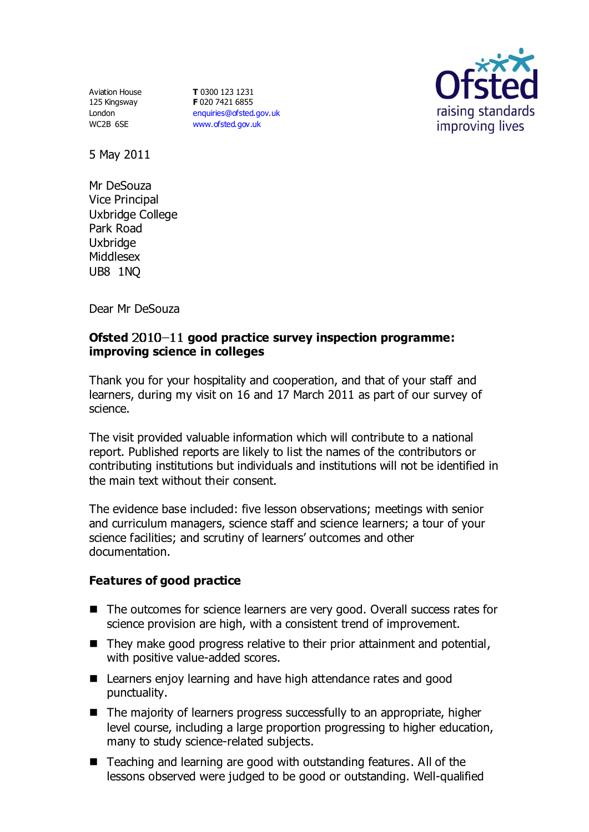Aviation House 125 Kingsway London WC2B 6SE

**T** 0300 123 1231 **F** 020 7421 6855 [enquiries@ofsted.gov.uk](mailto:enquiries@ofsted.gov.uk) [www.ofsted.gov.uk](http://www.ofsted.gov.uk/)



5 May 2011

Mr DeSouza Vice Principal Uxbridge College Park Road Uxbridge Middlesex UB8 1NQ

Dear Mr DeSouza

## **Ofsted**  $2010-11$  good practice survey inspection programme: **improving science in colleges**

Thank you for your hospitality and cooperation, and that of your staff and learners, during my visit on 16 and 17 March 2011 as part of our survey of science.

The visit provided valuable information which will contribute to a national report. Published reports are likely to list the names of the contributors or contributing institutions but individuals and institutions will not be identified in the main text without their consent.

The evidence base included: five lesson observations; meetings with senior and curriculum managers, science staff and science learners; a tour of your science facilities; and scrutiny of learners' outcomes and other documentation.

## **Features of good practice**

- The outcomes for science learners are very good. Overall success rates for science provision are high, with a consistent trend of improvement.
- $\blacksquare$  They make good progress relative to their prior attainment and potential, with positive value-added scores.
- Learners enjoy learning and have high attendance rates and good punctuality.
- The majority of learners progress successfully to an appropriate, higher level course, including a large proportion progressing to higher education, many to study science-related subjects.
- Teaching and learning are good with outstanding features. All of the lessons observed were judged to be good or outstanding. Well-qualified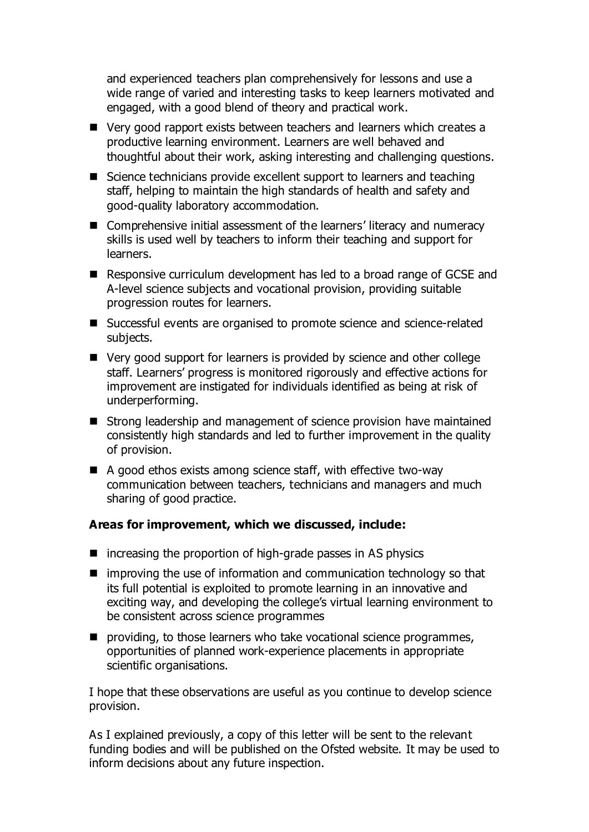and experienced teachers plan comprehensively for lessons and use a wide range of varied and interesting tasks to keep learners motivated and engaged, with a good blend of theory and practical work.

- Very good rapport exists between teachers and learners which creates a productive learning environment. Learners are well behaved and thoughtful about their work, asking interesting and challenging questions.
- Science technicians provide excellent support to learners and teaching staff, helping to maintain the high standards of health and safety and good-quality laboratory accommodation.
- Comprehensive initial assessment of the learners' literacy and numeracy skills is used well by teachers to inform their teaching and support for learners.
- Responsive curriculum development has led to a broad range of GCSE and A-level science subjects and vocational provision, providing suitable progression routes for learners.
- Successful events are organised to promote science and science-related subjects.
- Very good support for learners is provided by science and other college staff. Learners' progress is monitored rigorously and effective actions for improvement are instigated for individuals identified as being at risk of underperforming.
- Strong leadership and management of science provision have maintained consistently high standards and led to further improvement in the quality of provision.
- $\blacksquare$  A good ethos exists among science staff, with effective two-way communication between teachers, technicians and managers and much sharing of good practice.

## **Areas for improvement, which we discussed, include:**

- $\blacksquare$  increasing the proportion of high-grade passes in AS physics
- $\blacksquare$  improving the use of information and communication technology so that its full potential is exploited to promote learning in an innovative and exciting way, and developing the college's virtual learning environment to be consistent across science programmes
- **P** providing, to those learners who take vocational science programmes, opportunities of planned work-experience placements in appropriate scientific organisations.

I hope that these observations are useful as you continue to develop science provision.

As I explained previously, a copy of this letter will be sent to the relevant funding bodies and will be published on the Ofsted website. It may be used to inform decisions about any future inspection.